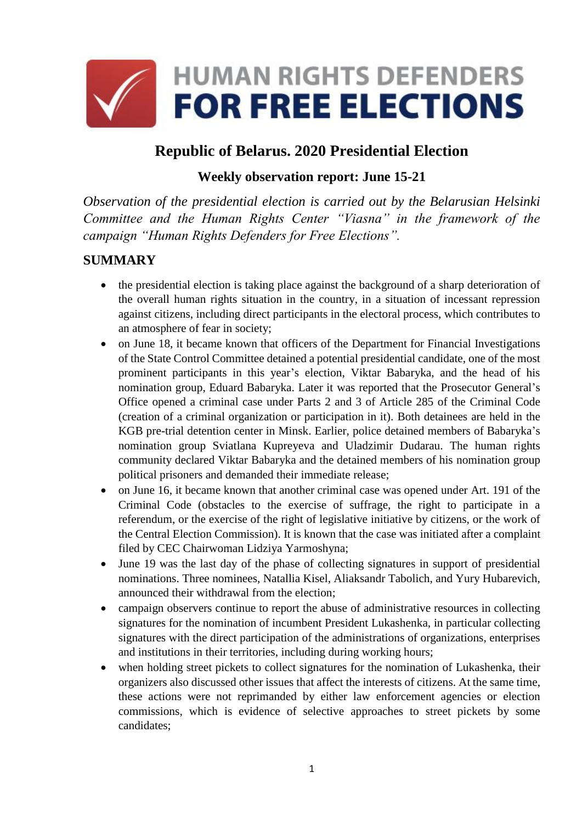

# **Republic of Belarus. 2020 Presidential Election**

#### **Weekly observation report: June 15-21**

*Observation of the presidential election is carried out by the Belarusian Helsinki Committee and the Human Rights Center "Viasna" in the framework of the campaign "Human Rights Defenders for Free Elections".*

### **SUMMARY**

- the presidential election is taking place against the background of a sharp deterioration of the overall human rights situation in the country, in a situation of incessant repression against citizens, including direct participants in the electoral process, which contributes to an atmosphere of fear in society;
- on June 18, it became known that officers of the Department for Financial Investigations of the State Control Committee detained a potential presidential candidate, one of the most prominent participants in this year's election, Viktar Babaryka, and the head of his nomination group, Eduard Babaryka. Later it was reported that the Prosecutor General's Office opened a criminal case under Parts 2 and 3 of Article 285 of the Criminal Code (creation of a criminal organization or participation in it). Both detainees are held in the KGB pre-trial detention center in Minsk. Earlier, police detained members of Babaryka's nomination group Sviatlana Kupreyeva and Uladzimir Dudarau. The human rights community declared Viktar Babaryka and the detained members of his nomination group political prisoners and demanded their immediate release;
- on June 16, it became known that another criminal case was opened under Art. 191 of the Criminal Code (obstacles to the exercise of suffrage, the right to participate in a referendum, or the exercise of the right of legislative initiative by citizens, or the work of the Central Election Commission). It is known that the case was initiated after a complaint filed by CEC Chairwoman Lidziya Yarmoshyna;
- June 19 was the last day of the phase of collecting signatures in support of presidential nominations. Three nominees, Natallia Kisel, Aliaksandr Tabolich, and Yury Hubarevich, announced their withdrawal from the election;
- campaign observers continue to report the abuse of administrative resources in collecting signatures for the nomination of incumbent President Lukashenka, in particular collecting signatures with the direct participation of the administrations of organizations, enterprises and institutions in their territories, including during working hours;
- when holding street pickets to collect signatures for the nomination of Lukashenka, their organizers also discussed other issues that affect the interests of citizens. At the same time, these actions were not reprimanded by either law enforcement agencies or election commissions, which is evidence of selective approaches to street pickets by some candidates;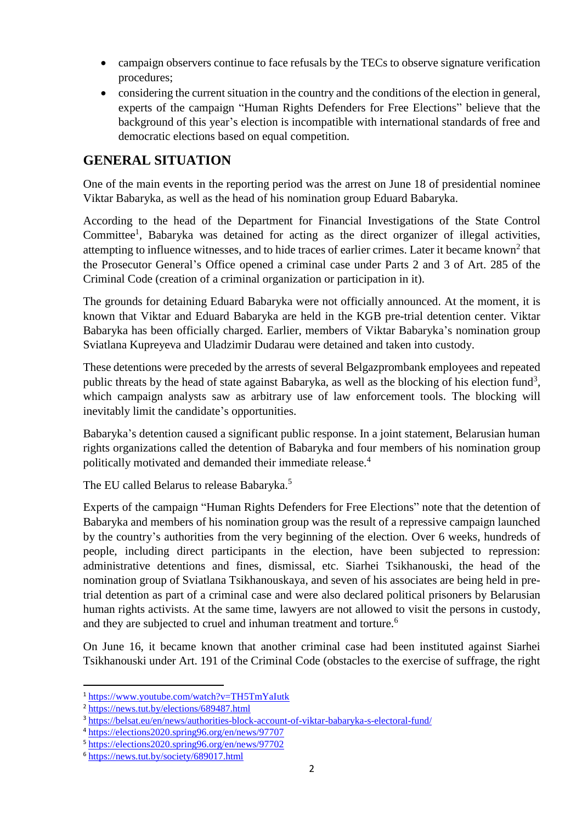- campaign observers continue to face refusals by the TECs to observe signature verification procedures;
- considering the current situation in the country and the conditions of the election in general, experts of the campaign "Human Rights Defenders for Free Elections" believe that the background of this year's election is incompatible with international standards of free and democratic elections based on equal competition.

## **GENERAL SITUATION**

One of the main events in the reporting period was the arrest on June 18 of presidential nominee Viktar Babaryka, as well as the head of his nomination group Eduard Babaryka.

According to the head of the Department for Financial Investigations of the State Control Committee<sup>1</sup>, Babaryka was detained for acting as the direct organizer of illegal activities, attempting to influence witnesses, and to hide traces of earlier crimes. Later it became known<sup>2</sup> that the Prosecutor General's Office opened a criminal case under Parts 2 and 3 of Art. 285 of the Criminal Code (creation of a criminal organization or participation in it).

The grounds for detaining Eduard Babaryka were not officially announced. At the moment, it is known that Viktar and Eduard Babaryka are held in the KGB pre-trial detention center. Viktar Babaryka has been officially charged. Earlier, members of Viktar Babaryka's nomination group Sviatlana Kupreyeva and Uladzimir Dudarau were detained and taken into custody.

These detentions were preceded by the arrests of several Belgazprombank employees and repeated public threats by the head of state against Babaryka, as well as the blocking of his election fund<sup>3</sup>, which campaign analysts saw as arbitrary use of law enforcement tools. The blocking will inevitably limit the candidate's opportunities.

Babaryka's detention caused a significant public response. In a joint statement, Belarusian human rights organizations called the detention of Babaryka and four members of his nomination group politically motivated and demanded their immediate release.<sup>4</sup>

The EU called Belarus to release Babaryka.<sup>5</sup>

Experts of the campaign "Human Rights Defenders for Free Elections" note that the detention of Babaryka and members of his nomination group was the result of a repressive campaign launched by the country's authorities from the very beginning of the election. Over 6 weeks, hundreds of people, including direct participants in the election, have been subjected to repression: administrative detentions and fines, dismissal, etc. Siarhei Tsikhanouski, the head of the nomination group of Sviatlana Tsikhanouskaya, and seven of his associates are being held in pretrial detention as part of a criminal case and were also declared political prisoners by Belarusian human rights activists. At the same time, lawyers are not allowed to visit the persons in custody, and they are subjected to cruel and inhuman treatment and torture.<sup>6</sup>

On June 16, it became known that another criminal case had been instituted against Siarhei Tsikhanouski under Art. 191 of the Criminal Code (obstacles to the exercise of suffrage, the right

**.** 

<sup>1</sup> <https://www.youtube.com/watch?v=TH5TmYaIutk>

<sup>2</sup> <https://news.tut.by/elections/689487.html>

<sup>3</sup> <https://belsat.eu/en/news/authorities-block-account-of-viktar-babaryka-s-electoral-fund/>

<sup>4</sup> <https://elections2020.spring96.org/en/news/97707>

<sup>5</sup> <https://elections2020.spring96.org/en/news/97702>

<sup>6</sup> <https://news.tut.by/society/689017.html>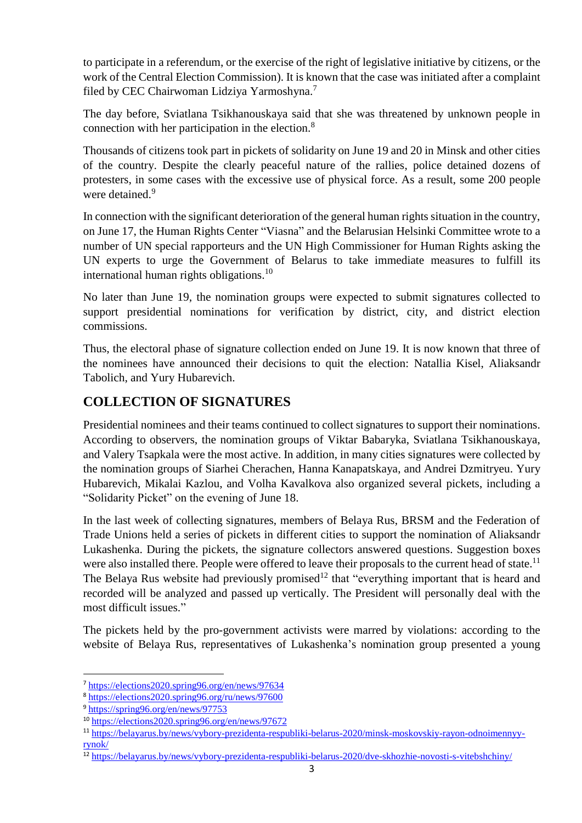to participate in a referendum, or the exercise of the right of legislative initiative by citizens, or the work of the Central Election Commission). It is known that the case was initiated after a complaint filed by CEC Chairwoman Lidziya Yarmoshyna.<sup>7</sup>

The day before, Sviatlana Tsikhanouskaya said that she was threatened by unknown people in connection with her participation in the election. $8<sup>8</sup>$ 

Thousands of citizens took part in pickets of solidarity on June 19 and 20 in Minsk and other cities of the country. Despite the clearly peaceful nature of the rallies, police detained dozens of protesters, in some cases with the excessive use of physical force. As a result, some 200 people were detained.<sup>9</sup>

In connection with the significant deterioration of the general human rights situation in the country, on June 17, the Human Rights Center "Viasna" and the Belarusian Helsinki Committee wrote to a number of UN special rapporteurs and the UN High Commissioner for Human Rights asking the UN experts to urge the Government of Belarus to take immediate measures to fulfill its international human rights obligations.<sup>10</sup>

No later than June 19, the nomination groups were expected to submit signatures collected to support presidential nominations for verification by district, city, and district election commissions.

Thus, the electoral phase of signature collection ended on June 19. It is now known that three of the nominees have announced their decisions to quit the election: Natallia Kisel, Aliaksandr Tabolich, and Yury Hubarevich.

# **COLLECTION OF SIGNATURES**

Presidential nominees and their teams continued to collect signatures to support their nominations. According to observers, the nomination groups of Viktar Babaryka, Sviatlana Tsikhanouskaya, and Valery Tsapkala were the most active. In addition, in many cities signatures were collected by the nomination groups of Siarhei Cherachen, Hanna Kanapatskaya, and Andrei Dzmitryeu. Yury Hubarevich, Mikalai Kazlou, and Volha Kavalkova also organized several pickets, including a "Solidarity Picket" on the evening of June 18.

In the last week of collecting signatures, members of Belaya Rus, BRSM and the Federation of Trade Unions held a series of pickets in different cities to support the nomination of Aliaksandr Lukashenka. During the pickets, the signature collectors answered questions. Suggestion boxes were also installed there. People were offered to leave their proposals to the current head of state.<sup>11</sup> The Belaya Rus website had previously promised<sup>12</sup> that "everything important that is heard and recorded will be analyzed and passed up vertically. The President will personally deal with the most difficult issues."

The pickets held by the pro-government activists were marred by violations: according to the website of Belaya Rus, representatives of Lukashenka's nomination group presented a young

1

<sup>7</sup> <https://elections2020.spring96.org/en/news/97634>

<sup>8</sup> <https://elections2020.spring96.org/ru/news/97600>

<sup>9</sup> <https://spring96.org/en/news/97753>

<sup>10</sup> <https://elections2020.spring96.org/en/news/97672>

<sup>11</sup> https://belayarus.by/news/vybory-prezidenta-respubliki-belarus-2020/minsk-moskovskiy-rayon-odnoimennyyrynok/

<sup>&</sup>lt;sup>12</sup> https://belayarus.by/news/vybory-prezidenta-respubliki-belarus-2020/dve-skhozhie-novosti-s-vitebshchiny/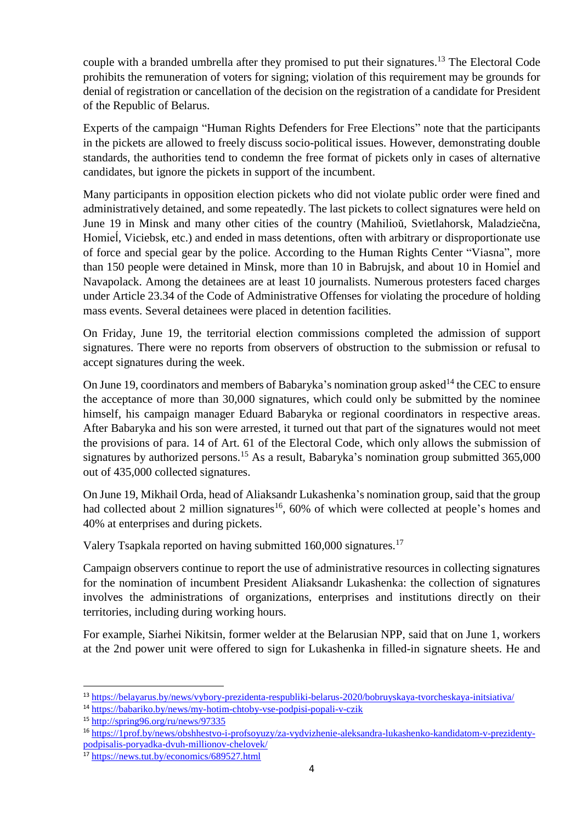couple with a branded umbrella after they promised to put their signatures.<sup>13</sup> The Electoral Code prohibits the remuneration of voters for signing; violation of this requirement may be grounds for denial of registration or cancellation of the decision on the registration of a candidate for President of the Republic of Belarus.

Experts of the campaign "Human Rights Defenders for Free Elections" note that the participants in the pickets are allowed to freely discuss socio-political issues. However, demonstrating double standards, the authorities tend to condemn the free format of pickets only in cases of alternative candidates, but ignore the pickets in support of the incumbent.

Many participants in opposition election pickets who did not violate public order were fined and administratively detained, and some repeatedly. The last pickets to collect signatures were held on June 19 in Minsk and many other cities of the country (Mahilioŭ, Svietlahorsk, Maladziečna, Homiel, Viciebsk, etc.) and ended in mass detentions, often with arbitrary or disproportionate use of force and special gear by the police. According to the Human Rights Center "Viasna", more than 150 people were detained in Minsk, more than 10 in Babrujsk, and about 10 in Homieĺ and Navapolack. Among the detainees are at least 10 journalists. Numerous protesters faced charges under Article 23.34 of the Code of Administrative Offenses for violating the procedure of holding mass events. Several detainees were placed in detention facilities.

On Friday, June 19, the territorial election commissions completed the admission of support signatures. There were no reports from observers of obstruction to the submission or refusal to accept signatures during the week.

On June 19, coordinators and members of Babaryka's nomination group asked<sup>14</sup> the CEC to ensure the acceptance of more than 30,000 signatures, which could only be submitted by the nominee himself, his campaign manager Eduard Babaryka or regional coordinators in respective areas. After Babaryka and his son were arrested, it turned out that part of the signatures would not meet the provisions of para. 14 of Art. 61 of the Electoral Code, which only allows the submission of signatures by authorized persons.<sup>15</sup> As a result, Babaryka's nomination group submitted  $365,000$ out of 435,000 collected signatures.

On June 19, Mikhail Orda, head of Aliaksandr Lukashenka's nomination group, said that the group had collected about 2 million signatures<sup>16</sup>, 60% of which were collected at people's homes and 40% at enterprises and during pickets.

Valery Tsapkala reported on having submitted 160,000 signatures.<sup>17</sup>

Campaign observers continue to report the use of administrative resources in collecting signatures for the nomination of incumbent President Aliaksandr Lukashenka: the collection of signatures involves the administrations of organizations, enterprises and institutions directly on their territories, including during working hours.

For example, Siarhei Nikitsin, former welder at the Belarusian NPP, said that on June 1, workers at the 2nd power unit were offered to sign for Lukashenka in filled-in signature sheets. He and

**.** 

<sup>13</sup> <https://belayarus.by/news/vybory-prezidenta-respubliki-belarus-2020/bobruyskaya-tvorcheskaya-initsiativa/>

<sup>14</sup> https://babariko.by/news/my-hotim-chtoby-vse-podpisi-popali-v-czik

<sup>15</sup> http://spring96.org/ru/news/97335

<sup>16</sup> https://1prof.by/news/obshhestvo-i-profsoyuzy/za-vydvizhenie-aleksandra-lukashenko-kandidatom-v-prezidentypodpisalis-poryadka-dvuh-millionov-chelovek/

<sup>&</sup>lt;sup>17</sup> https://news.tut.by/economics/689527.html